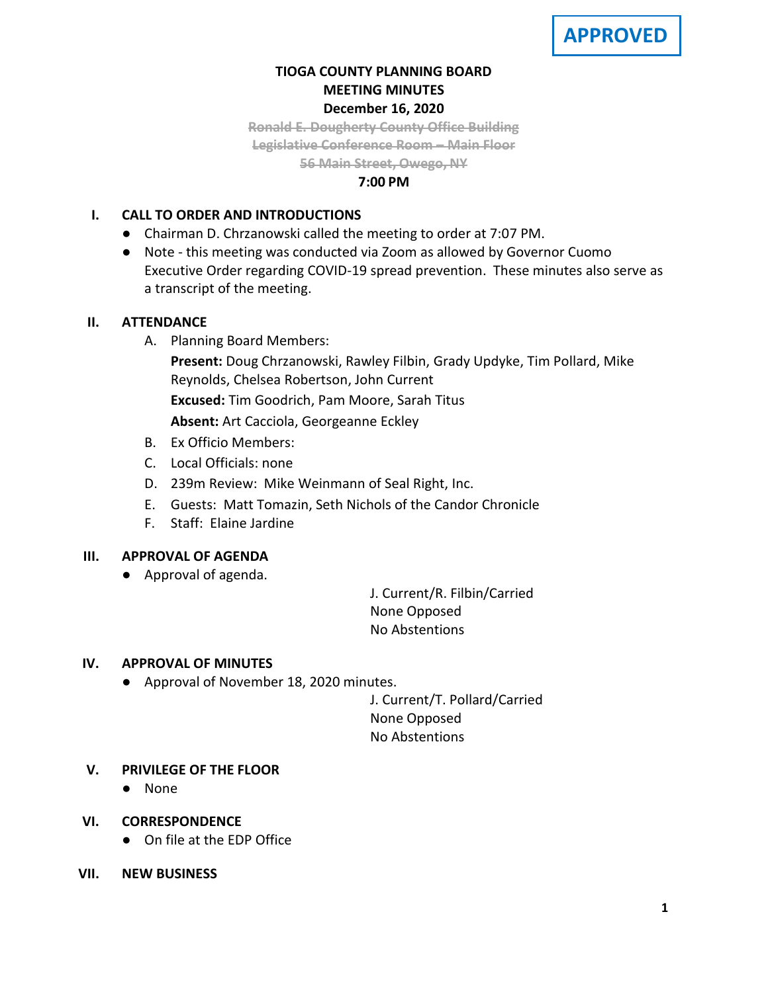# **TIOGA COUNTY PLANNING BOARD MEETING MINUTES December 16, 2020**

**Ronald E. Dougherty County Office Building Legislative Conference Room – Main Floor**

**56 Main Street, Owego, NY**

# **7:00 PM**

# **I. CALL TO ORDER AND INTRODUCTIONS**

- Chairman D. Chrzanowski called the meeting to order at 7:07 PM.
- Note this meeting was conducted via Zoom as allowed by Governor Cuomo Executive Order regarding COVID-19 spread prevention. These minutes also serve as a transcript of the meeting.

## **II. ATTENDANCE**

A. Planning Board Members:

**Present:** Doug Chrzanowski, Rawley Filbin, Grady Updyke, Tim Pollard, Mike Reynolds, Chelsea Robertson, John Current

**Excused:** Tim Goodrich, Pam Moore, Sarah Titus

**Absent:** Art Cacciola, Georgeanne Eckley

- B. Ex Officio Members:
- C. Local Officials: none
- D. 239m Review: Mike Weinmann of Seal Right, Inc.
- E. Guests: Matt Tomazin, Seth Nichols of the Candor Chronicle
- F. Staff: Elaine Jardine

# **III. APPROVAL OF AGENDA**

● Approval of agenda.

J. Current/R. Filbin/Carried None Opposed No Abstentions

# **IV. APPROVAL OF MINUTES**

● Approval of November 18, 2020 minutes.

J. Current/T. Pollard/Carried None Opposed No Abstentions

# **V. PRIVILEGE OF THE FLOOR**

- None
- **VI. CORRESPONDENCE**
	- On file at the EDP Office
- **VII. NEW BUSINESS**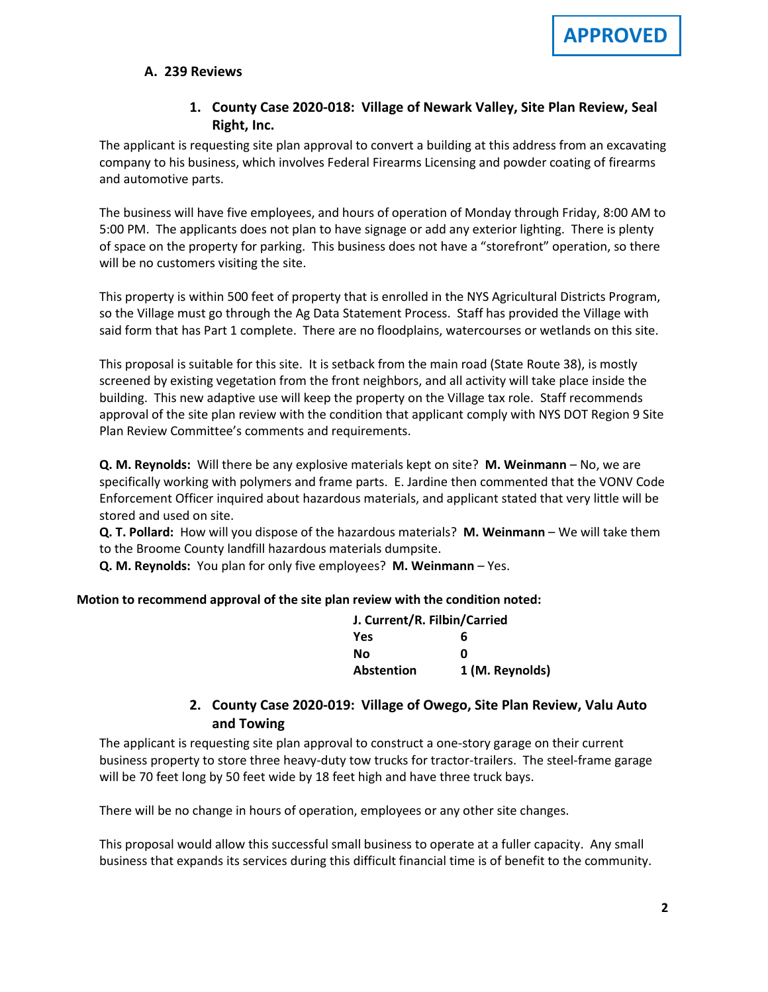#### **A. A. 239 Reviews**

# **1. County Case 2020-018: Village of Newark Valley, Site Plan Review, Seal Right, Inc.**

The applicant is requesting site plan approval to convert a building at this address from an excavating company to his business, which involves Federal Firearms Licensing and powder coating of firearms and automotive parts.

The business will have five employees, and hours of operation of Monday through Friday, 8:00 AM to 5:00 PM. The applicants does not plan to have signage or add any exterior lighting. There is plenty of space on the property for parking. This business does not have a "storefront" operation, so there will be no customers visiting the site.

This property is within 500 feet of property that is enrolled in the NYS Agricultural Districts Program, so the Village must go through the Ag Data Statement Process. Staff has provided the Village with said form that has Part 1 complete. There are no floodplains, watercourses or wetlands on this site.

This proposal is suitable for this site. It is setback from the main road (State Route 38), is mostly screened by existing vegetation from the front neighbors, and all activity will take place inside the building. This new adaptive use will keep the property on the Village tax role. Staff recommends approval of the site plan review with the condition that applicant comply with NYS DOT Region 9 Site Plan Review Committee's comments and requirements.

**Q. M. Reynolds:** Will there be any explosive materials kept on site? **M. Weinmann** – No, we are specifically working with polymers and frame parts. E. Jardine then commented that the VONV Code Enforcement Officer inquired about hazardous materials, and applicant stated that very little will be stored and used on site.

**Q. T. Pollard:** How will you dispose of the hazardous materials? **M. Weinmann** – We will take them to the Broome County landfill hazardous materials dumpsite.

**Q. M. Reynolds:** You plan for only five employees? **M. Weinmann** – Yes.

#### **Motion to recommend approval of the site plan review with the condition noted:**

| J. Current/R. Filbin/Carried |                 |
|------------------------------|-----------------|
| Yes                          | 6               |
| Νo                           | n               |
| Abstention                   | 1 (M. Reynolds) |

# **2. County Case 2020-019: Village of Owego, Site Plan Review, Valu Auto and Towing**

The applicant is requesting site plan approval to construct a one-story garage on their current business property to store three heavy-duty tow trucks for tractor-trailers. The steel-frame garage will be 70 feet long by 50 feet wide by 18 feet high and have three truck bays.

There will be no change in hours of operation, employees or any other site changes.

This proposal would allow this successful small business to operate at a fuller capacity. Any small business that expands its services during this difficult financial time is of benefit to the community.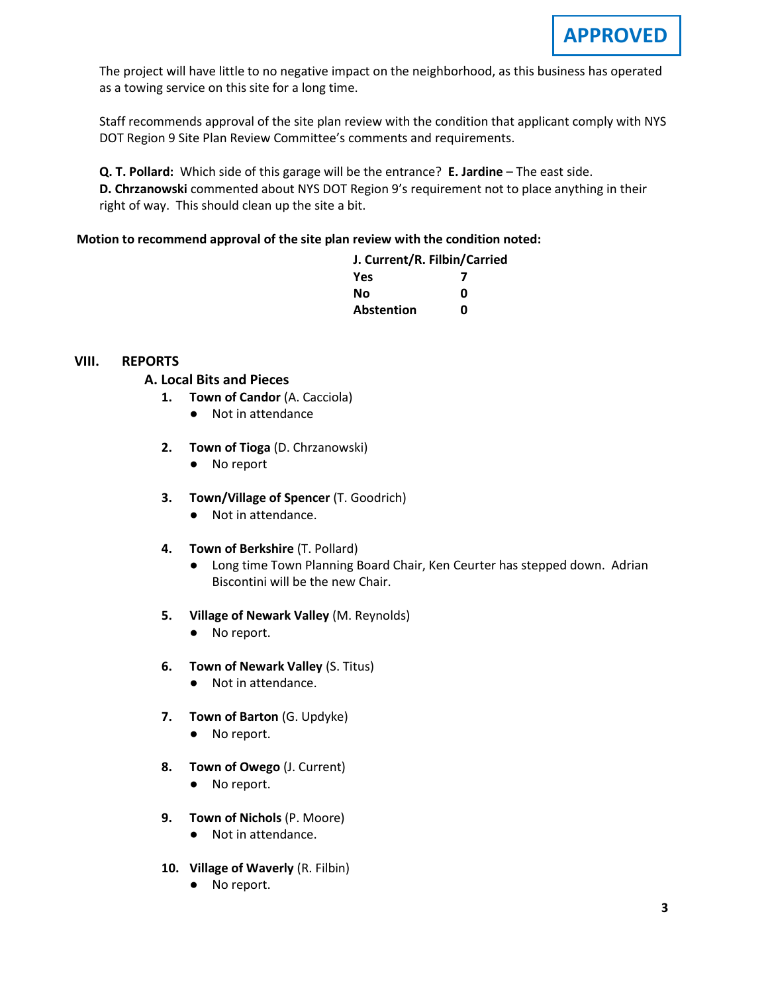The project will have little to no negative impact on the neighborhood, as this business has operated as a towing service on this site for a long time.

Staff recommends approval of the site plan review with the condition that applicant comply with NYS DOT Region 9 Site Plan Review Committee's comments and requirements.

**Q. T. Pollard:** Which side of this garage will be the entrance? **E. Jardine** – The east side. **D. Chrzanowski** commented about NYS DOT Region 9's requirement not to place anything in their right of way. This should clean up the site a bit.

#### **Motion to recommend approval of the site plan review with the condition noted:**

| J. Current/R. Filbin/Carried |  |
|------------------------------|--|
|                              |  |
| n                            |  |
| n                            |  |
|                              |  |

#### **VIII. REPORTS**

## **A. A. Local Bits and Pieces**

- **1. Town of Candor** (A. Cacciola)
	- Not in attendance
- **2. Town of Tioga** (D. Chrzanowski)
	- No report
- **3. Town/Village of Spencer** (T. Goodrich)
	- Not in attendance.
- **4. Town of Berkshire** (T. Pollard)
	- Long time Town Planning Board Chair, Ken Ceurter has stepped down. Adrian Biscontini will be the new Chair.
- **5. Village of Newark Valley** (M. Reynolds)
	- No report.
- **6. Town of Newark Valley** (S. Titus)
	- Not in attendance.
- **7. Town of Barton** (G. Updyke)
	- No report.
- **8. Town of Owego** (J. Current)
	- No report.
- **9. Town of Nichols** (P. Moore)
	- Not in attendance.
- **10. Village of Waverly** (R. Filbin)
	- No report.